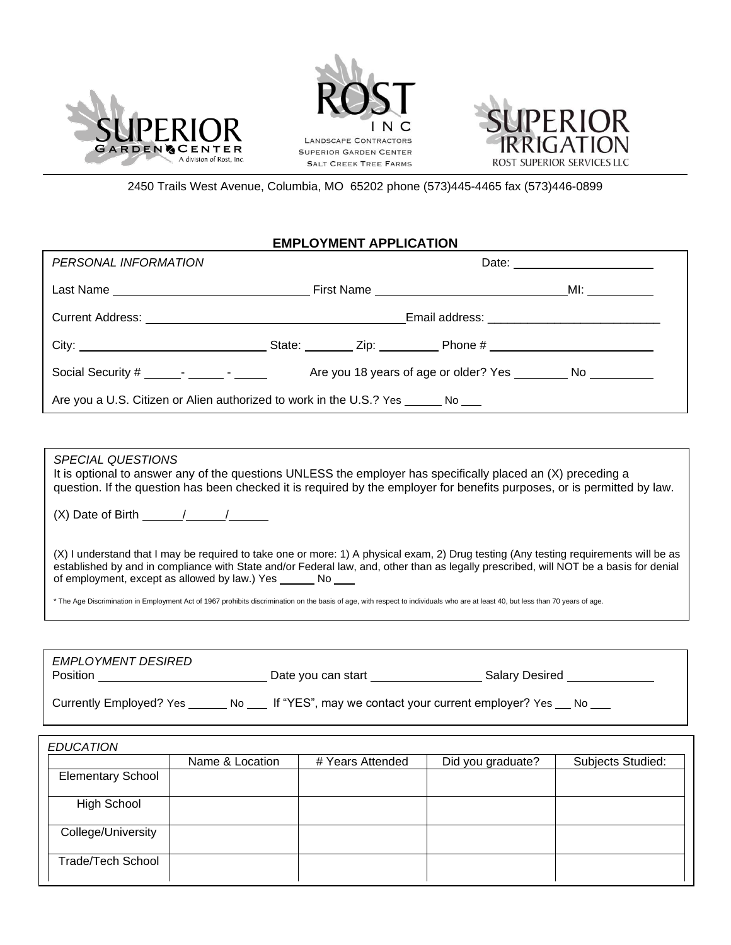





2450 Trails West Avenue, Columbia, MO 65202 phone (573)445-4465 fax (573)446-0899

## **EMPLOYMENT APPLICATION**

| PERSONAL INFORMATION                                                                                  |  |  | Date: ________________________ |  |
|-------------------------------------------------------------------------------------------------------|--|--|--------------------------------|--|
|                                                                                                       |  |  |                                |  |
|                                                                                                       |  |  |                                |  |
|                                                                                                       |  |  |                                |  |
| Social Security # $\frac{1}{\sqrt{2}}$ $\frac{1}{\sqrt{2}}$ $\frac{1}{\sqrt{2}}$ $\frac{1}{\sqrt{2}}$ |  |  |                                |  |
| Are you a U.S. Citizen or Alien authorized to work in the U.S.? Yes _______ No ____                   |  |  |                                |  |
|                                                                                                       |  |  |                                |  |
| <i>SPECIAL QUESTIONS</i>                                                                              |  |  |                                |  |

It is optional to answer any of the questions UNLESS the employer has specifically placed an (X) preceding a question. If the question has been checked it is required by the employer for benefits purposes, or is permitted by law.

(X) Date of Birth  $\frac{1}{\sqrt{2}}$ 

(X) I understand that I may be required to take one or more: 1) A physical exam, 2) Drug testing (Any testing requirements will be as established by and in compliance with State and/or Federal law, and, other than as legally prescribed, will NOT be a basis for denial of employment, except as allowed by law.) Yes No

\* The Age Discrimination in Employment Act of 1967 prohibits discrimination on the basis of age, with respect to individuals who are at least 40, but less than 70 years of age.

| EMPLOYMENT DESIRED<br>Position |     | Date you can start                                  | <b>Salary Desired</b> |
|--------------------------------|-----|-----------------------------------------------------|-----------------------|
| Currently Employed? Yes        | No. | If "YES", may we contact your current employer? Yes | No.                   |

|                          | Name & Location | # Years Attended | Did you graduate? | Subjects Studied: |
|--------------------------|-----------------|------------------|-------------------|-------------------|
| <b>Elementary School</b> |                 |                  |                   |                   |
| <b>High School</b>       |                 |                  |                   |                   |
| College/University       |                 |                  |                   |                   |
| <b>Trade/Tech School</b> |                 |                  |                   |                   |